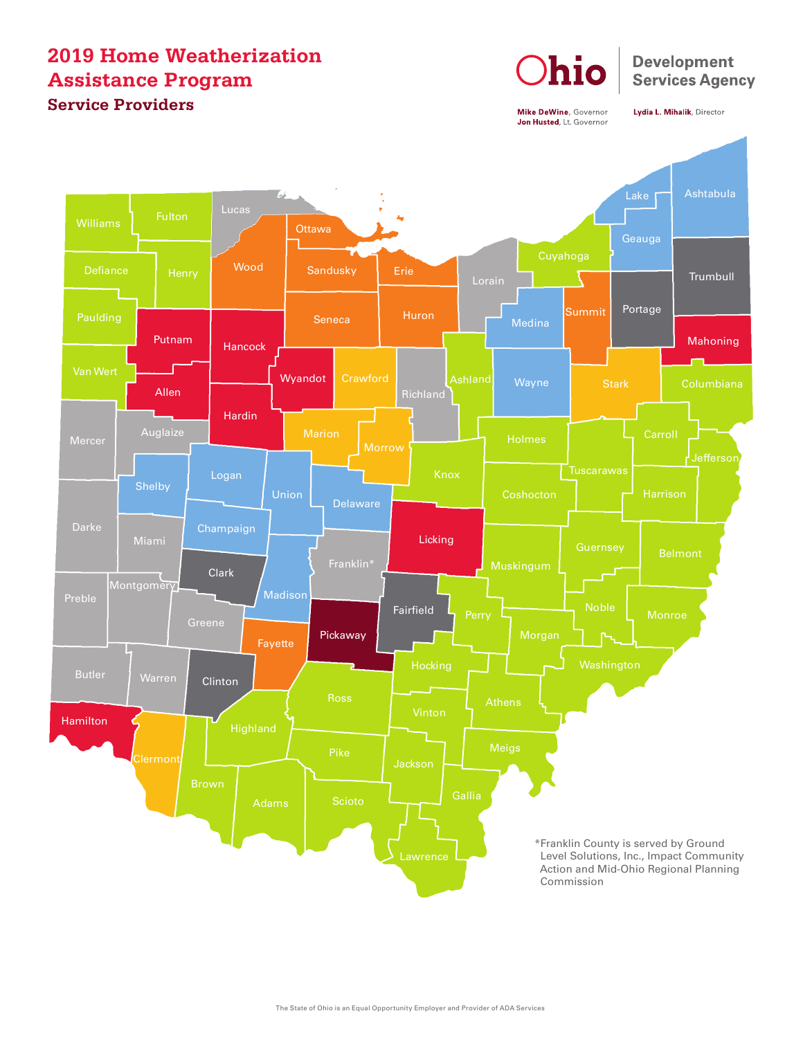## **2019 Home Weatherization Assistance Program Service Providers**



Mike DeWine, Governor Jon Husted, Lt. Governor

Lydia L. Mihalik, Director

**Development Services Agency**